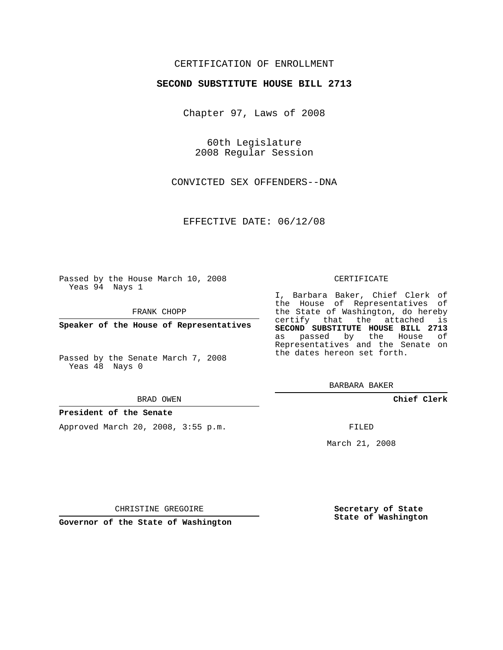## CERTIFICATION OF ENROLLMENT

## **SECOND SUBSTITUTE HOUSE BILL 2713**

Chapter 97, Laws of 2008

60th Legislature 2008 Regular Session

CONVICTED SEX OFFENDERS--DNA

EFFECTIVE DATE: 06/12/08

Passed by the House March 10, 2008 Yeas 94 Nays 1

FRANK CHOPP

**Speaker of the House of Representatives**

Passed by the Senate March 7, 2008 Yeas 48 Nays 0

#### BRAD OWEN

### **President of the Senate**

Approved March 20, 2008, 3:55 p.m.

#### CERTIFICATE

I, Barbara Baker, Chief Clerk of the House of Representatives of the State of Washington, do hereby certify that the attached is **SECOND SUBSTITUTE HOUSE BILL 2713** as passed by the House of Representatives and the Senate on the dates hereon set forth.

BARBARA BAKER

**Chief Clerk**

FILED

March 21, 2008

**Secretary of State State of Washington**

CHRISTINE GREGOIRE

**Governor of the State of Washington**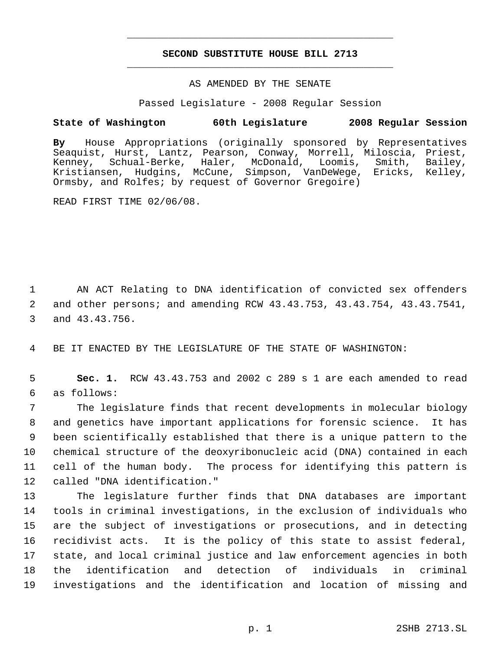# **SECOND SUBSTITUTE HOUSE BILL 2713** \_\_\_\_\_\_\_\_\_\_\_\_\_\_\_\_\_\_\_\_\_\_\_\_\_\_\_\_\_\_\_\_\_\_\_\_\_\_\_\_\_\_\_\_\_

\_\_\_\_\_\_\_\_\_\_\_\_\_\_\_\_\_\_\_\_\_\_\_\_\_\_\_\_\_\_\_\_\_\_\_\_\_\_\_\_\_\_\_\_\_

## AS AMENDED BY THE SENATE

Passed Legislature - 2008 Regular Session

## **State of Washington 60th Legislature 2008 Regular Session**

**By** House Appropriations (originally sponsored by Representatives Seaquist, Hurst, Lantz, Pearson, Conway, Morrell, Miloscia, Priest, Kenney, Schual-Berke, Haler, McDonald, Loomis, Smith, Bailey, Kristiansen, Hudgins, McCune, Simpson, VanDeWege, Ericks, Kelley, Ormsby, and Rolfes; by request of Governor Gregoire)

READ FIRST TIME 02/06/08.

 1 AN ACT Relating to DNA identification of convicted sex offenders 2 and other persons; and amending RCW 43.43.753, 43.43.754, 43.43.7541, 3 and 43.43.756.

4 BE IT ENACTED BY THE LEGISLATURE OF THE STATE OF WASHINGTON:

 5 **Sec. 1.** RCW 43.43.753 and 2002 c 289 s 1 are each amended to read 6 as follows:

 The legislature finds that recent developments in molecular biology and genetics have important applications for forensic science. It has been scientifically established that there is a unique pattern to the chemical structure of the deoxyribonucleic acid (DNA) contained in each cell of the human body. The process for identifying this pattern is called "DNA identification."

 The legislature further finds that DNA databases are important tools in criminal investigations, in the exclusion of individuals who are the subject of investigations or prosecutions, and in detecting recidivist acts. It is the policy of this state to assist federal, state, and local criminal justice and law enforcement agencies in both the identification and detection of individuals in criminal investigations and the identification and location of missing and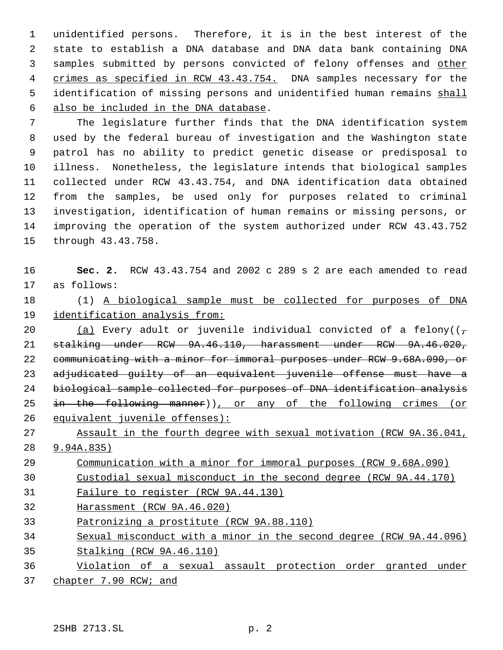unidentified persons. Therefore, it is in the best interest of the state to establish a DNA database and DNA data bank containing DNA samples submitted by persons convicted of felony offenses and other 4 crimes as specified in RCW 43.43.754. DNA samples necessary for the 5 identification of missing persons and unidentified human remains shall also be included in the DNA database.

 The legislature further finds that the DNA identification system used by the federal bureau of investigation and the Washington state patrol has no ability to predict genetic disease or predisposal to illness. Nonetheless, the legislature intends that biological samples collected under RCW 43.43.754, and DNA identification data obtained from the samples, be used only for purposes related to criminal investigation, identification of human remains or missing persons, or improving the operation of the system authorized under RCW 43.43.752 through 43.43.758.

 **Sec. 2.** RCW 43.43.754 and 2002 c 289 s 2 are each amended to read as follows:

 (1) A biological sample must be collected for purposes of DNA identification analysis from:

20 (a) Every adult or juvenile individual convicted of a felony( $(\tau$  stalking under RCW 9A.46.110, harassment under RCW 9A.46.020, 22 communicating with a minor for immoral purposes under RCW 9.68A.090, or 23 adjudicated guilty of an equivalent juvenile offense must have a biological sample collected for purposes of DNA identification analysis in the following manner)), or any of the following crimes (or equivalent juvenile offenses):

 Assault in the fourth degree with sexual motivation (RCW 9A.36.041, 9.94A.835)

Communication with a minor for immoral purposes (RCW 9.68A.090)

Custodial sexual misconduct in the second degree (RCW 9A.44.170)

Failure to register (RCW 9A.44.130)

Harassment (RCW 9A.46.020)

Patronizing a prostitute (RCW 9A.88.110)

 Sexual misconduct with a minor in the second degree (RCW 9A.44.096) Stalking (RCW 9A.46.110)

 Violation of a sexual assault protection order granted under 37 chapter 7.90 RCW; and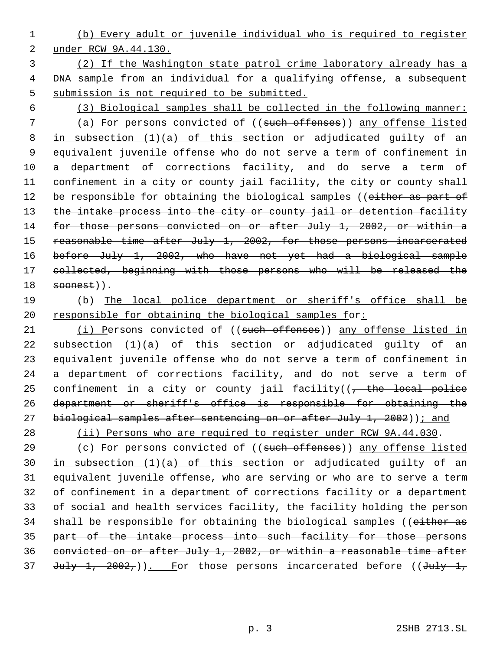- 1 (b) Every adult or juvenile individual who is required to register 2 under RCW 9A.44.130.
- 3 (2) If the Washington state patrol crime laboratory already has a 4 DNA sample from an individual for a qualifying offense, a subsequent 5 submission is not required to be submitted.
- 

 6 (3) Biological samples shall be collected in the following manner: 7 (a) For persons convicted of ((such offenses)) any offense listed 8 in subsection (1)(a) of this section or adjudicated guilty of an 9 equivalent juvenile offense who do not serve a term of confinement in 10 a department of corrections facility, and do serve a term of 11 confinement in a city or county jail facility, the city or county shall 12 be responsible for obtaining the biological samples ((either as part of 13 the intake process into the city or county jail or detention facility 14 for those persons convicted on or after July 1, 2002, or within a 15 reasonable time after July 1, 2002, for those persons incarcerated 16 before July 1, 2002, who have not yet had a biological sample 17 collected, beginning with those persons who will be released the  $18$  soonest)).

19 (b) The local police department or sheriff's office shall be 20 responsible for obtaining the biological samples for:

21 (i) Persons convicted of ((such offenses)) any offense listed in 22 subsection (1)(a) of this section or adjudicated guilty of an 23 equivalent juvenile offense who do not serve a term of confinement in 24 a department of corrections facility, and do not serve a term of 25 confinement in a city or county jail facility( $(-$ the local police 26 department or sheriff's office is responsible for obtaining the 27 biological samples after sentencing on or after July 1, 2002)); and

28 (ii) Persons who are required to register under RCW 9A.44.030.

29 (c) For persons convicted of ((such offenses)) any offense listed 30 in subsection  $(1)(a)$  of this section or adjudicated guilty of an 31 equivalent juvenile offense, who are serving or who are to serve a term 32 of confinement in a department of corrections facility or a department 33 of social and health services facility, the facility holding the person 34 shall be responsible for obtaining the biological samples ((either as 35 part of the intake process into such facility for those persons 36 convicted on or after July 1, 2002, or within a reasonable time after 37 July 1,  $2002<sub>1</sub>$ )). For those persons incarcerated before ((July 1,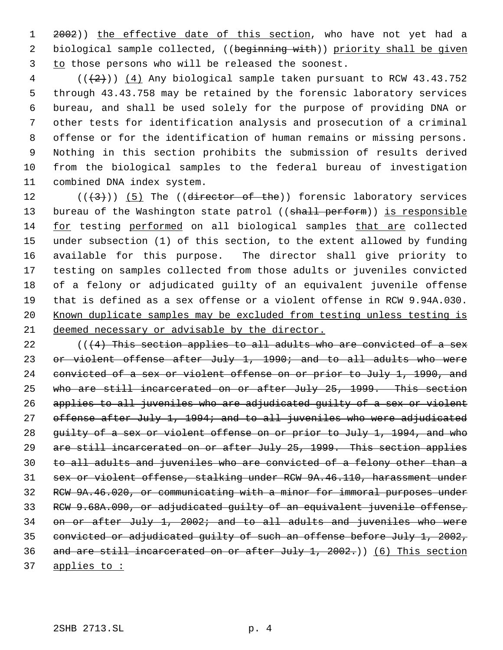1 2002)) the effective date of this section, who have not yet had a 2 biological sample collected, ((beginning with)) priority shall be given to those persons who will be released the soonest.

 ( $(\frac{2}{2})$ )  $(4)$  Any biological sample taken pursuant to RCW 43.43.752 through 43.43.758 may be retained by the forensic laboratory services bureau, and shall be used solely for the purpose of providing DNA or other tests for identification analysis and prosecution of a criminal offense or for the identification of human remains or missing persons. Nothing in this section prohibits the submission of results derived from the biological samples to the federal bureau of investigation combined DNA index system.

 $((+3))$   $(5)$  The ((director of the)) forensic laboratory services 13 bureau of the Washington state patrol ((shall perform)) is responsible for testing performed on all biological samples that are collected under subsection (1) of this section, to the extent allowed by funding available for this purpose. The director shall give priority to testing on samples collected from those adults or juveniles convicted of a felony or adjudicated guilty of an equivalent juvenile offense that is defined as a sex offense or a violent offense in RCW 9.94A.030. 20 Known duplicate samples may be excluded from testing unless testing is deemed necessary or advisable by the director.

 $($  ( $(4)$  This section applies to all adults who are convicted of a sex 23 or violent offense after July 1, 1990; and to all adults who were 24 convicted of a sex or violent offense on or prior to July 1, 1990, and who are still incarcerated on or after July 25, 1999. This section applies to all juveniles who are adjudicated guilty of a sex or violent 27 offense after July 1, 1994; and to all juveniles who were adjudicated 28 guilty of a sex or violent offense on or prior to July 1, 1994, and who 29 are still incarcerated on or after July 25, 1999. This section applies to all adults and juveniles who are convicted of a felony other than a sex or violent offense, stalking under RCW 9A.46.110, harassment under RCW 9A.46.020, or communicating with a minor for immoral purposes under RCW 9.68A.090, or adjudicated guilty of an equivalent juvenile offense, on or after July 1, 2002; and to all adults and juveniles who were convicted or adjudicated guilty of such an offense before July 1, 2002, 36 and are still incarcerated on or after July 1, .)) (6) This section applies to :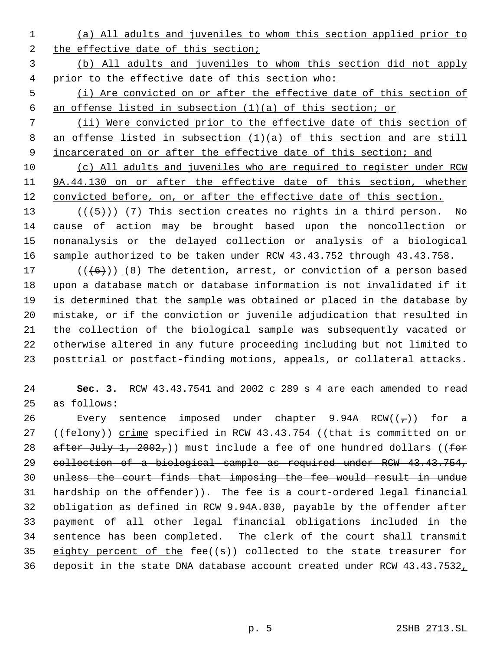(a) All adults and juveniles to whom this section applied prior to 2 the effective date of this section;

 (b) All adults and juveniles to whom this section did not apply prior to the effective date of this section who:

 (i) Are convicted on or after the effective date of this section of an offense listed in subsection (1)(a) of this section; or

 (ii) Were convicted prior to the effective date of this section of an offense listed in subsection (1)(a) of this section and are still 9 incarcerated on or after the effective date of this section; and

 (c) All adults and juveniles who are required to register under RCW 9A.44.130 on or after the effective date of this section, whether 12 convicted before, on, or after the effective date of this section.

13 ( $(\overline{5})$ ) (7) This section creates no rights in a third person. No cause of action may be brought based upon the noncollection or nonanalysis or the delayed collection or analysis of a biological sample authorized to be taken under RCW 43.43.752 through 43.43.758.

 $((+6))$   $(8)$  The detention, arrest, or conviction of a person based upon a database match or database information is not invalidated if it is determined that the sample was obtained or placed in the database by mistake, or if the conviction or juvenile adjudication that resulted in the collection of the biological sample was subsequently vacated or otherwise altered in any future proceeding including but not limited to posttrial or postfact-finding motions, appeals, or collateral attacks.

 **Sec. 3.** RCW 43.43.7541 and 2002 c 289 s 4 are each amended to read as follows:

26 Every sentence imposed under chapter 9.94A RCW( $(\tau)$ ) for a 27 ((felony)) crime specified in RCW 43.43.754 ((that is committed on or 28 after July 1, 2002,)) must include a fee of one hundred dollars ((for collection of a biological sample as required under RCW 43.43.754, unless the court finds that imposing the fee would result in undue hardship on the offender)). The fee is a court-ordered legal financial obligation as defined in RCW 9.94A.030, payable by the offender after payment of all other legal financial obligations included in the sentence has been completed. The clerk of the court shall transmit 35 eighty percent of the fee( $(\theta)$ ) collected to the state treasurer for deposit in the state DNA database account created under RCW 43.43.7532,